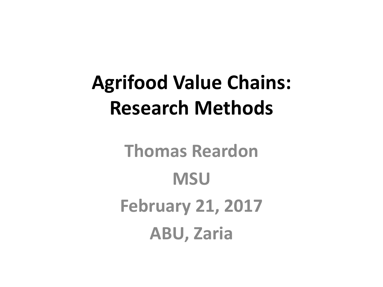### **Agrifood Value Chains: Research Methods**

**Thomas Reardon MSU February 21, 2017 ABU, Zaria**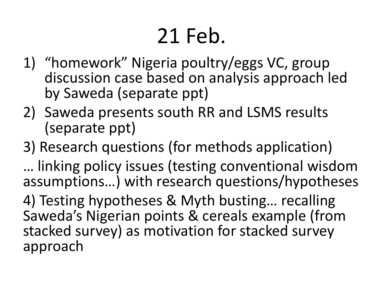# 21 Feb.

- 1) "homework" Nigeria poultry/eggs VC, group discussion case based on analysis approach led by Saweda (separate ppt)
- 2) Saweda presents south RR and LSMS results (separate ppt)

#### 3) Research questions (for methods application)

... linking policy issues (testing conventional wisdom assumptions...) with research questions/hypotheses

4) Testing hypotheses & Myth busting... recalling Saweda's Nigerian points & cereals example (from stacked survey) as motivation for stacked survey approach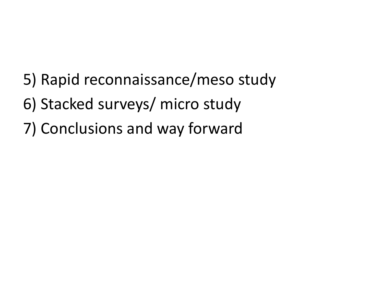- 5) Rapid reconnaissance/meso study
- 6) Stacked surveys/ micro study
- 7) Conclusions and way forward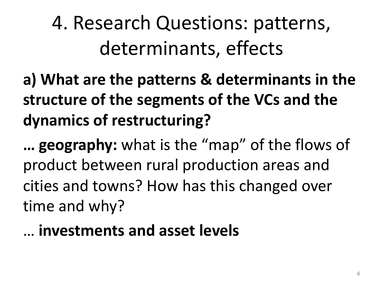4. Research Questions: patterns, determinants, effects

a) What are the patterns & determinants in the structure of the segments of the VCs and the dynamics of restructuring?

**... geography:** what is the "map" of the flows of product between rural production areas and cities and towns? How has this changed over time and why?

… **investments and asset levels**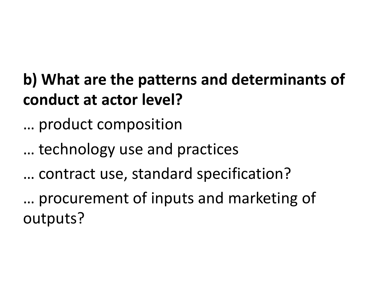### **b)** What are the patterns and determinants of **conduct at actor level?**

... product composition

... technology use and practices

… contract use, standard specification?

… procurement of inputs and marketing of outputs?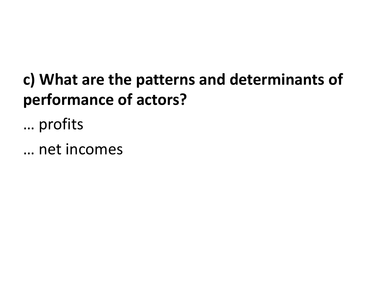### c) What are the patterns and determinants of **performance of actors?**

… profits

… net incomes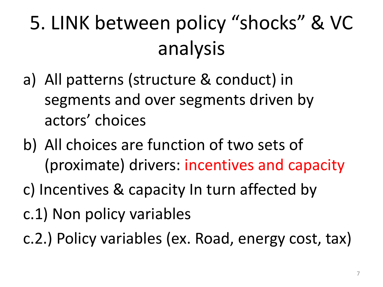# 5. LINK between policy "shocks" & VC analysis

- a) All patterns (structure & conduct) in segments and over segments driven by actors' choices
- b) All choices are function of two sets of (proximate) drivers: incentives and capacity
- c) Incentives & capacity In turn affected by
- c.1) Non policy variables
- c.2.) Policy variables (ex. Road, energy cost, tax)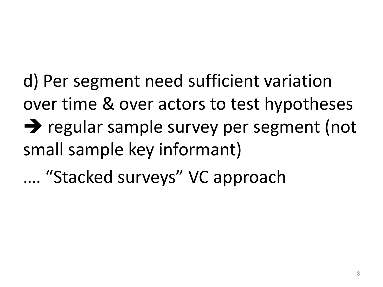d) Per segment need sufficient variation over time & over actors to test hypotheses  $\rightarrow$  regular sample survey per segment (not small sample key informant)

.... "Stacked surveys" VC approach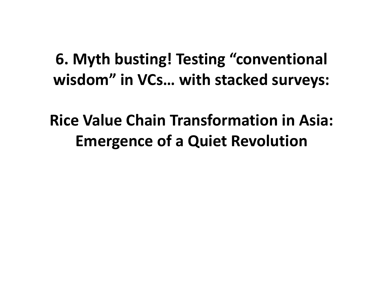### **6. Myth busting! Testing "conventional** wisdom" in VCs... with stacked surveys:

**Rice Value Chain Transformation in Asia: Emergence of a Quiet Revolution**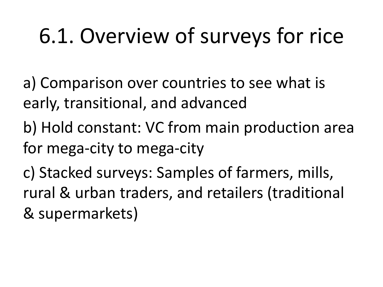# 6.1. Overview of surveys for rice

a) Comparison over countries to see what is early, transitional, and advanced

b) Hold constant: VC from main production area for mega-city to mega-city

c) Stacked surveys: Samples of farmers, mills, rural & urban traders, and retailers (traditional & supermarkets)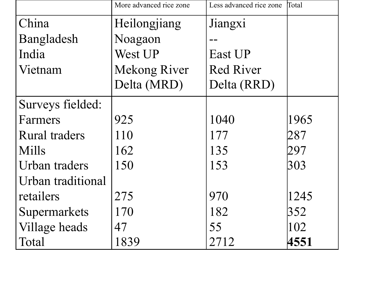|                      | More advanced rice zone | Less advanced rice zone | Total |
|----------------------|-------------------------|-------------------------|-------|
| China                | Heilongjiang            | Jiangxi                 |       |
| Bangladesh           | Noagaon                 |                         |       |
| India                | West UP                 | East UP                 |       |
| Vietnam              | <b>Mekong River</b>     | <b>Red River</b>        |       |
|                      | Delta (MRD)             | Delta (RRD)             |       |
| Surveys fielded:     |                         |                         |       |
| Farmers              | 925                     | 1040                    | 1965  |
| <b>Rural traders</b> | 110                     | 177                     | 287   |
| <b>Mills</b>         | 162                     | 135                     | 297   |
| Urban traders        | 150                     | 153                     | 303   |
| Urban traditional    |                         |                         |       |
| retailers            | 275                     | 970                     | 1245  |
| Supermarkets         | 170                     | 182                     | 352   |
| Village heads        | 47                      | 55                      | 102   |
| Total                | 1839                    | 2712                    | 4551  |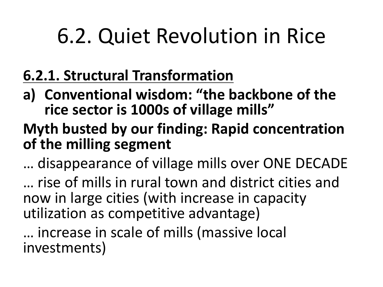# 6.2. Quiet Revolution in Rice

#### **6.2.1. Structural Transformation**

a) Conventional wisdom: "the backbone of the rice sector is 1000s of village mills"

#### **Myth busted by our finding: Rapid concentration** of the milling segment

... disappearance of village mills over ONE DECADE

… rise of mills in rural town and district cities and now in large cities (with increase in capacity utilization as competitive advantage)

... increase in scale of mills (massive local investments)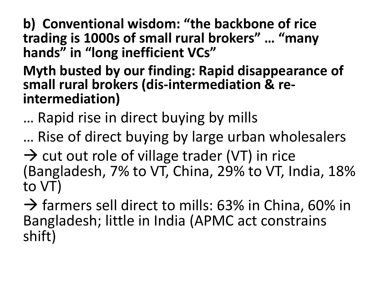**b) Conventional wisdom: "the backbone of rice** trading is 1000s of small rural brokers" ... "many hands" in "long inefficient VCs"

### **Myth busted by our finding: Rapid disappearance of** small rural brokers (dis-intermediation & re-<br>intermediation)

... Rapid rise in direct buying by mills

... Rise of direct buying by large urban wholesalers

 $\rightarrow$  cut out role of village trader (VT) in rice (Bangladesh, 7% to VT, China, 29% to VT, India, 18% to VT)

 $\rightarrow$  farmers sell direct to mills: 63% in China, 60% in Bangladesh; little in India (APMC act constrains shift)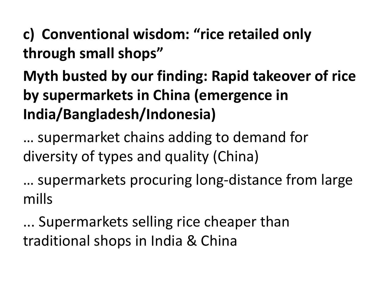### c) Conventional wisdom: "rice retailed only **through small shops"**

**Myth busted by our finding: Rapid takeover of rice by supermarkets in China (emergence in India/Bangladesh/Indonesia)**

… supermarket chains adding to demand for diversity of types and quality (China)

... supermarkets procuring long-distance from large mills

... Supermarkets selling rice cheaper than traditional shops in India & China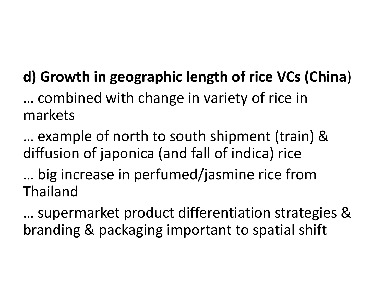### **d)** Growth in geographic length of rice VCs (China)

… combined with change in variety of rice in markets

… example of north to south shipment (train) & diffusion of japonica (and fall of indica) rice

... big increase in perfumed/jasmine rice from Thailand

... supermarket product differentiation strategies & branding & packaging important to spatial shift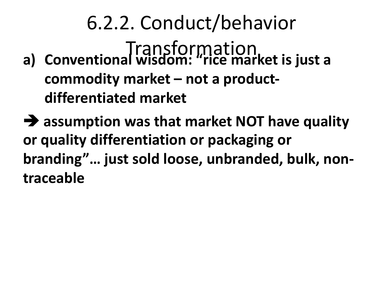6.2.2. Conduct/behavior **a)** Conventional wisdom: "rice market is just a commodity market – not a product**differentiated market**

 $\rightarrow$  **assumption was that market NOT have quality or quality differentiation or packaging or** branding"... just sold loose, unbranded, bulk, non**traceable**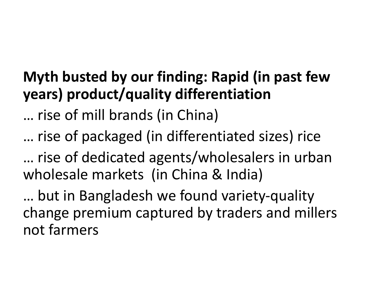#### **Myth busted by our finding: Rapid (in past few years) product/quality differentiation**

… rise of mill brands (in China)

… rise of packaged (in differentiated sizes) rice

... rise of dedicated agents/wholesalers in urban wholesale markets (in China & India)

... but in Bangladesh we found variety-quality change premium captured by traders and millers not farmers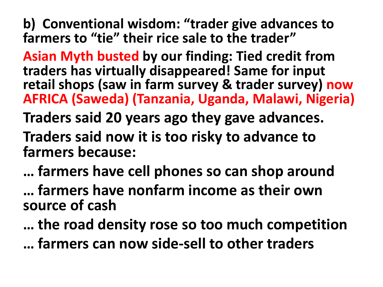**b)** Conventional wisdom: "trader give advances to **farmers to "tie" their rice sale to the trader"** 

**Asian Myth busted by our finding: Tied credit from** traders has virtually disappeared! Same for input **retail shops (saw in farm survey & trader survey) now AFRICA (Saweda) (Tanzania, Uganda, Malawi, Nigeria)**

**Traders said 20 years ago they gave advances.** 

**Traders said now it is too risky to advance to farmers because:**

**… farmers have cell phones so can shop around**

**… farmers have nonfarm income as their own source of cash**

**... the road density rose so too much competition … farmers can now side-sell to other traders**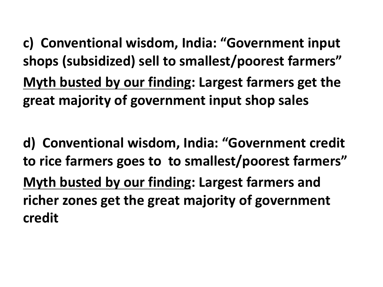c) Conventional wisdom, India: "Government input shops (subsidized) sell to smallest/poorest farmers" **Myth busted by our finding: Largest farmers get the** great majority of government input shop sales

d) Conventional wisdom, India: "Government credit to rice farmers goes to to smallest/poorest farmers" **Myth busted by our finding: Largest farmers and** richer zones get the great majority of government **credit**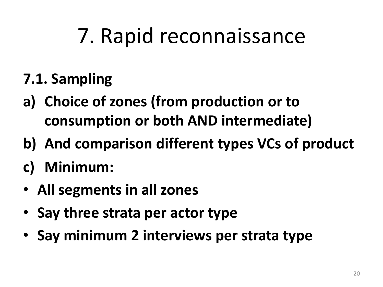# 7. Rapid reconnaissance

### **7.1. Sampling**

- a) Choice of zones (from production or to **consumption or both AND intermediate)**
- **b)** And comparison different types VCs of product
- c) Minimum:
- All segments in all zones
- Say three strata per actor type
- **Say minimum 2 interviews per strata type**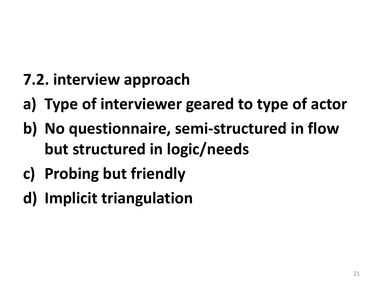- **7.2. interview approach**
- a) **Type of interviewer geared to type of actor**
- **b)** No questionnaire, semi-structured in flow **but structured in logic/needs**
- **c) Probing but friendly**
- **d) Implicit triangulation**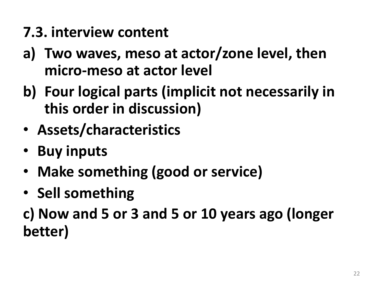#### **7.3. interview content**

- a) Two waves, meso at actor/zone level, then **micro-meso** at actor level
- **b)** Four logical parts (implicit not necessarily in **this order in discussion)**
- **Assets/characteristics**
- **Buy inputs**
- Make something (good or service)
- Sell something

**c) Now and 5 or 3 and 5 or 10 years ago (longer better)**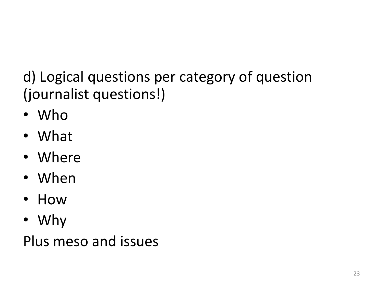### d) Logical questions per category of question (journalist questions!)

- Who
- What
- Where
- When
- How
- Why

Plus meso and issues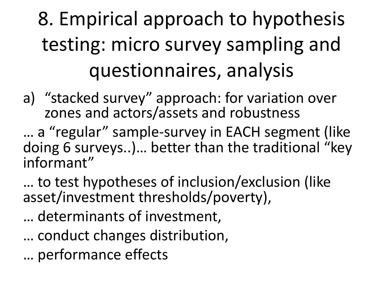# 8. Empirical approach to hypothesis testing: micro survey sampling and questionnaires, analysis

a) "stacked survey" approach: for variation over zones and actors/assets and robustness

... a "regular" sample-survey in EACH segment (like doing 6 surveys..)... better than the traditional "key informant"

... to test hypotheses of inclusion/exclusion (like asset/investment thresholds/poverty),

- ... determinants of investment,
- ... conduct changes distribution,
- … performance effects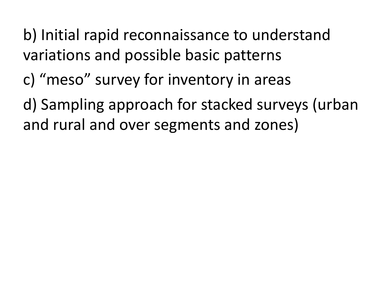b) Initial rapid reconnaissance to understand variations and possible basic patterns

c) "meso" survey for inventory in areas

d) Sampling approach for stacked surveys (urban and rural and over segments and zones)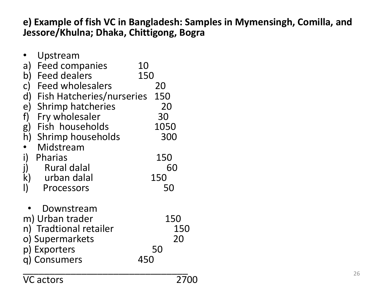#### **e) Example of fish VC in Bangladesh: Samples in Mymensingh, Comilla, and Jessore/Khulna; Dhaka, Chittigong, Bogra**

|              | Upstream                         |     |      |     |
|--------------|----------------------------------|-----|------|-----|
| a)           | Feed companies                   | 10  |      |     |
| b)           | <b>Feed dealers</b>              | 150 |      |     |
| $\mathsf{C}$ | <b>Feed wholesalers</b>          |     | 20   |     |
| $\mathsf{d}$ | <b>Fish Hatcheries/nurseries</b> |     | 150  |     |
| e)           | <b>Shrimp hatcheries</b>         |     | 20   |     |
| f)           | Fry wholesaler                   |     | 30   |     |
| g)           | Fish households                  |     | 1050 |     |
|              | h) Shrimp households             |     | 300  |     |
|              | Midstream                        |     |      |     |
| i)           | Pharias                          |     | 150  |     |
| j)           | <b>Rural dalal</b>               |     |      | 60  |
|              | k) urban dalal                   |     | 150  |     |
| I)           | Processors                       |     | 50   |     |
|              |                                  |     |      |     |
|              | Downstream                       |     |      |     |
|              | m) Urban trader                  |     |      | 150 |
|              | n) Tradtional retailer           |     |      | 150 |
|              | o) Supermarkets                  |     |      | 20  |
|              | p) Exporters                     |     | 50   |     |
|              | g) Consumers                     | 450 |      |     |
|              |                                  |     |      |     |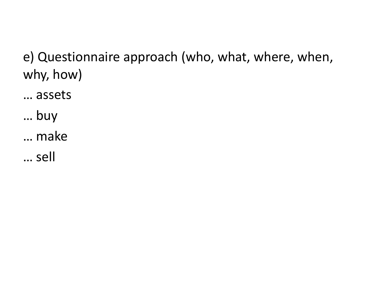e) Questionnaire approach (who, what, where, when, why, how)

… assets

… buy

… make

… sell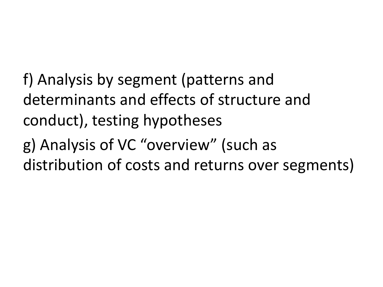f) Analysis by segment (patterns and determinants and effects of structure and conduct), testing hypotheses

g) Analysis of VC "overview" (such as distribution of costs and returns over segments)